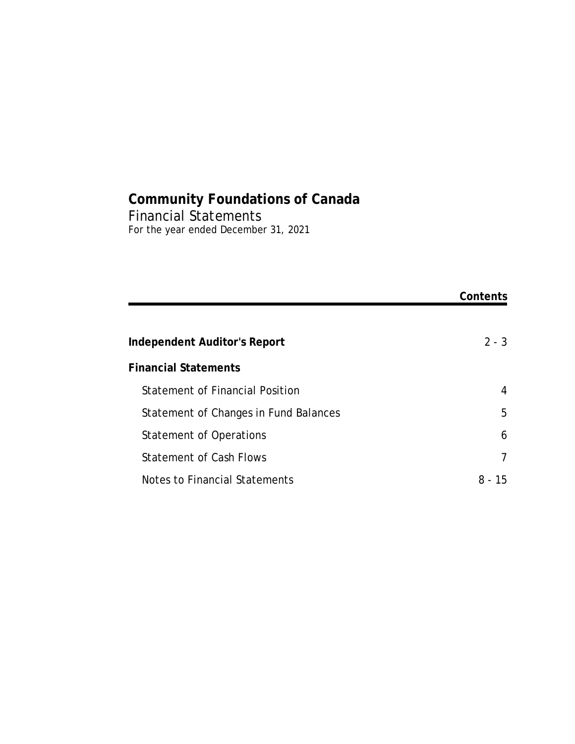## **Community Foundations of Canada** Financial Statements For the year ended December 31, 2021

|                                        | Contents    |
|----------------------------------------|-------------|
|                                        |             |
| Independent Auditor's Report           | $2 - 3$     |
| <b>Financial Statements</b>            |             |
| <b>Statement of Financial Position</b> | 4           |
| Statement of Changes in Fund Balances  | 5           |
| Statement of Operations                | 6           |
| <b>Statement of Cash Flows</b>         | 7           |
| Notes to Financial Statements          | $8 -$<br>15 |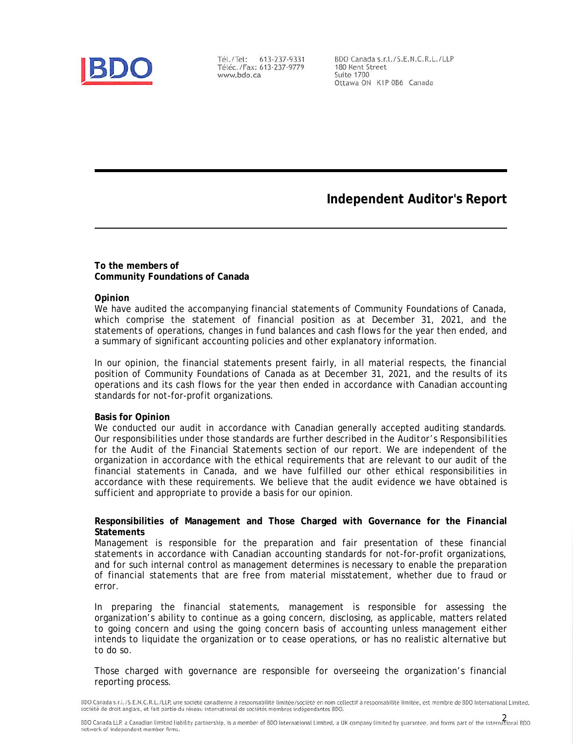

Tél./Tel: 613-237-9331 Téléc./Fax: 613-237-9779 www.bdo.ca

BDO Canada s.r.l./S.E.N.C.R.L./LLP 180 Kent Street **Suite 1700** Ottawa ON K1P 0B6 Canada

**Independent Auditor's Report**

**To the members of Community Foundations of Canada**

#### **Opinion**

We have audited the accompanying financial statements of Community Foundations of Canada, which comprise the statement of financial position as at December 31, 2021, and the statements of operations, changes in fund balances and cash flows for the year then ended, and a summary of significant accounting policies and other explanatory information.

In our opinion, the financial statements present fairly, in all material respects, the financial position of Community Foundations of Canada as at December 31, 2021, and the results of its operations and its cash flows for the year then ended in accordance with Canadian accounting standards for not-for-profit organizations.

### **Basis for Opinion**

We conducted our audit in accordance with Canadian generally accepted auditing standards. Our responsibilities under those standards are further described in the *Auditor's Responsibilities for the Audit of the Financial Statements* section of our report. We are independent of the organization in accordance with the ethical requirements that are relevant to our audit of the financial statements in Canada, and we have fulfilled our other ethical responsibilities in accordance with these requirements. We believe that the audit evidence we have obtained is sufficient and appropriate to provide a basis for our opinion.

**Responsibilities of Management and Those Charged with Governance for the Financial Statements**

Management is responsible for the preparation and fair presentation of these financial statements in accordance with Canadian accounting standards for not-for-profit organizations, and for such internal control as management determines is necessary to enable the preparation of financial statements that are free from material misstatement, whether due to fraud or error.

In preparing the financial statements, management is responsible for assessing the organization's ability to continue as a going concern, disclosing, as applicable, matters related to going concern and using the going concern basis of accounting unless management either intends to liquidate the organization or to cease operations, or has no realistic alternative but to do so.

Those charged with governance are responsible for overseeing the organization's financial reporting process.

BDO Canada s.r.l./S.E.N.C.R.L./LLP, une société canadienne à responsabilité limitée/société en nom collectif à responsabilité limitée, est membre de BDO International Limited, société de droit anglais, et fait partie du réseau international de sociétés membres indépendantes BDO.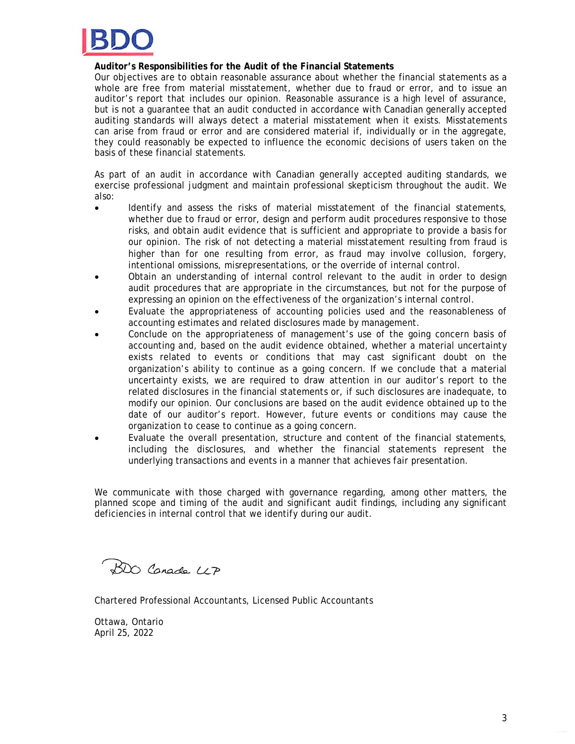

**Auditor's Responsibilities for the Audit of the Financial Statements**

Our objectives are to obtain reasonable assurance about whether the financial statements as a whole are free from material misstatement, whether due to fraud or error, and to issue an auditor's report that includes our opinion. Reasonable assurance is a high level of assurance, but is not a guarantee that an audit conducted in accordance with Canadian generally accepted auditing standards will always detect a material misstatement when it exists. Misstatements can arise from fraud or error and are considered material if, individually or in the aggregate, they could reasonably be expected to influence the economic decisions of users taken on the basis of these financial statements.

As part of an audit in accordance with Canadian generally accepted auditing standards, we exercise professional judgment and maintain professional skepticism throughout the audit. We also:

- Identify and assess the risks of material misstatement of the financial statements, whether due to fraud or error, design and perform audit procedures responsive to those risks, and obtain audit evidence that is sufficient and appropriate to provide a basis for our opinion. The risk of not detecting a material misstatement resulting from fraud is higher than for one resulting from error, as fraud may involve collusion, forgery, intentional omissions, misrepresentations, or the override of internal control.
- Obtain an understanding of internal control relevant to the audit in order to design audit procedures that are appropriate in the circumstances, but not for the purpose of expressing an opinion on the effectiveness of the organization's internal control.
- Evaluate the appropriateness of accounting policies used and the reasonableness of accounting estimates and related disclosures made by management.
- Conclude on the appropriateness of management's use of the going concern basis of accounting and, based on the audit evidence obtained, whether a material uncertainty exists related to events or conditions that may cast significant doubt on the organization's ability to continue as a going concern. If we conclude that a material uncertainty exists, we are required to draw attention in our auditor's report to the related disclosures in the financial statements or, if such disclosures are inadequate, to modify our opinion. Our conclusions are based on the audit evidence obtained up to the date of our auditor's report. However, future events or conditions may cause the organization to cease to continue as a going concern.
- Evaluate the overall presentation, structure and content of the financial statements, including the disclosures, and whether the financial statements represent the underlying transactions and events in a manner that achieves fair presentation.

We communicate with those charged with governance regarding, among other matters, the planned scope and timing of the audit and significant audit findings, including any significant deficiencies in internal control that we identify during our audit.

BDO Canada LLP

Chartered Professional Accountants, Licensed Public Accountants

Ottawa, Ontario April 25, 2022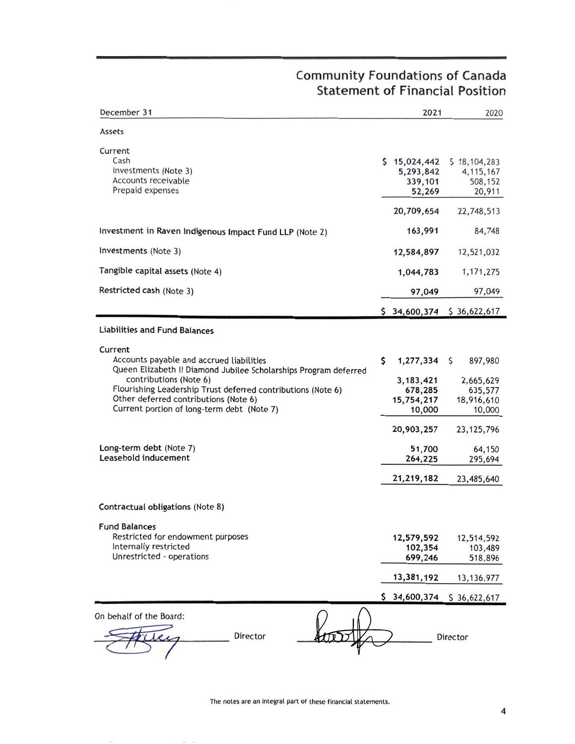# **Community Foundations of Canada Statement of Financial Position**

| December 31                                                                                                                                                                   | 2021                                           |   | 2020                                             |
|-------------------------------------------------------------------------------------------------------------------------------------------------------------------------------|------------------------------------------------|---|--------------------------------------------------|
| Assets                                                                                                                                                                        |                                                |   |                                                  |
| Current<br>Cash<br>Investments (Note 3)<br>Accounts receivable<br>Prepaid expenses                                                                                            | \$15,024,442<br>5,293,842<br>339,101<br>52,269 |   | \$18,104,283<br>4, 115, 167<br>508,152<br>20,911 |
|                                                                                                                                                                               | 20,709,654                                     |   | 22,748,513                                       |
| Investment in Raven Indigenous Impact Fund LLP (Note 2)                                                                                                                       | 163,991                                        |   | 84,748                                           |
| Investments (Note 3)                                                                                                                                                          | 12,584,897                                     |   | 12,521,032                                       |
| Tangible capital assets (Note 4)                                                                                                                                              | 1,044,783                                      |   | 1, 171, 275                                      |
| Restricted cash (Note 3)                                                                                                                                                      | 97,049                                         |   | 97,049                                           |
|                                                                                                                                                                               | \$34,600,374 \$36,622,617                      |   |                                                  |
| <b>Liabilities and Fund Balances</b>                                                                                                                                          |                                                |   |                                                  |
| Current<br>Accounts payable and accrued liabilities<br>Queen Elizabeth II Diamond Jubilee Scholarships Program deferred                                                       | \$<br>1,277,334                                | S | 897,980                                          |
| contributions (Note 6)<br>Flourishing Leadership Trust deferred contributions (Note 6)<br>Other deferred contributions (Note 6)<br>Current portion of long-term debt (Note 7) | 3, 183, 421<br>678,285<br>15,754,217<br>10,000 |   | 2,665,629<br>635,577<br>18,916,610<br>10,000     |
|                                                                                                                                                                               | 20,903,257                                     |   | 23, 125, 796                                     |
| Long-term debt (Note 7)<br>Leasehold inducement                                                                                                                               | 51,700<br>264,225                              |   | 64,150<br>295,694                                |
|                                                                                                                                                                               | 21, 219, 182                                   |   | 23,485,640                                       |
| Contractual obligations (Note 8)                                                                                                                                              |                                                |   |                                                  |
| <b>Fund Balances</b><br>Restricted for endowment purposes<br>Internally restricted<br>Unrestricted - operations                                                               | 12,579,592<br>102,354<br>699,246               |   | 12,514,592<br>103,489<br>518,896                 |
|                                                                                                                                                                               | 13,381,192                                     |   | 13, 136, 977                                     |
|                                                                                                                                                                               | \$34,600,374                                   |   | \$36,622,617                                     |
| On behalf of the Board:<br>Director                                                                                                                                           |                                                |   | Director                                         |

The notes are an integral part of these financial statements.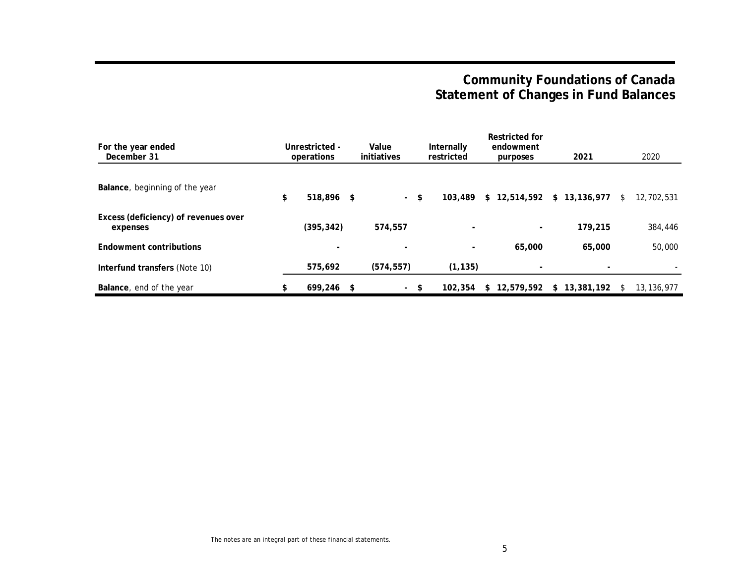# **Community Foundations of Canada Statement of Changes in Fund Balances**

| For the year ended<br>December 31                | Unrestricted -<br>operations | Value<br>initiatives |     | Internally<br>restricted | Restricted for<br>endowment<br>purposes | 2021         |    | 2020         |
|--------------------------------------------------|------------------------------|----------------------|-----|--------------------------|-----------------------------------------|--------------|----|--------------|
| Balance, beginning of the year                   | \$<br>518.896 \$             | $\sim$               | \$  | 103,489                  | \$12,514,592                            | \$13,136,977 | S. | 12,702,531   |
| Excess (deficiency) of revenues over<br>expenses | (395, 342)                   | 574,557              |     | $\overline{\phantom{a}}$ | $\overline{\phantom{a}}$                | 179,215      |    | 384,446      |
| Endowment contributions                          |                              |                      |     | $\overline{\phantom{a}}$ | 65,000                                  | 65,000       |    | 50,000       |
| Interfund transfers (Note 10)                    | 575,692                      | (574, 557)           |     | (1, 135)                 |                                         | $\sim$       |    |              |
| Balance, end of the year                         | \$<br>$699.246$ \$           | $\sim$               | -\$ | 102,354                  | \$12.579.592                            | \$13.381.192 | S. | 13, 136, 977 |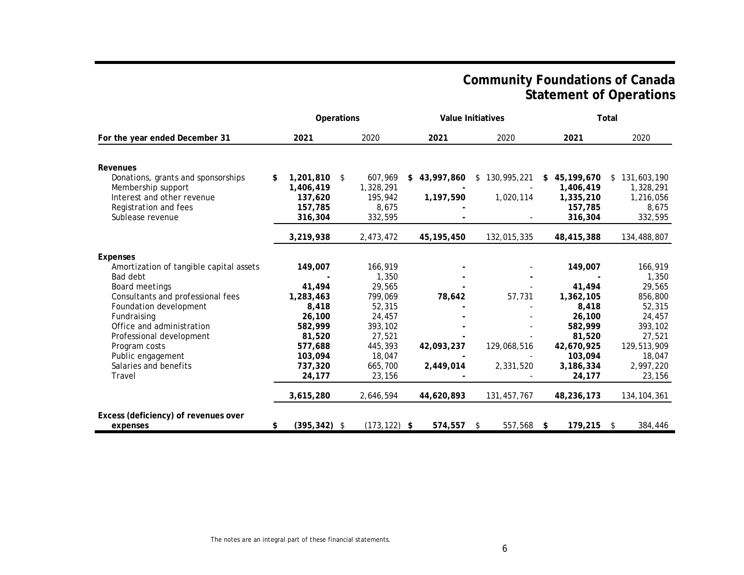## **Community Foundations of Canada Statement of Operations**

|                                         |                       | Operations<br>Value Initiatives |                  |               | Total            |               |
|-----------------------------------------|-----------------------|---------------------------------|------------------|---------------|------------------|---------------|
| For the year ended December 31          | 2021                  | 2020                            | 2021             | 2020          | 2021             | 2020          |
|                                         |                       |                                 |                  |               |                  |               |
| Revenues                                |                       |                                 |                  |               |                  |               |
| Donations, grants and sponsorships      | $1,201,810$ \$<br>\$  | 607.969                         | 43,997,860<br>S. | \$130,995,221 | 45,199,670<br>S. | \$131,603,190 |
| Membership support                      | 1,406,419             | 1,328,291                       |                  |               | 1,406,419        | 1,328,291     |
| Interest and other revenue              | 137.620               | 195,942                         | 1,197,590        | 1,020,114     | 1,335,210        | 1,216,056     |
| Registration and fees                   | 157,785               | 8,675                           |                  |               | 157,785          | 8,675         |
| Sublease revenue                        | 316,304               | 332,595                         |                  |               | 316,304          | 332,595       |
|                                         | 3,219,938             | 2,473,472                       | 45, 195, 450     | 132,015,335   | 48,415,388       | 134,488,807   |
| Expenses                                |                       |                                 |                  |               |                  |               |
| Amortization of tangible capital assets | 149,007               | 166,919                         |                  |               | 149,007          | 166,919       |
| Bad debt                                |                       | 1,350                           |                  |               |                  | 1,350         |
| Board meetings                          | 41.494                | 29,565                          |                  |               | 41.494           | 29,565        |
| Consultants and professional fees       | 1,283,463             | 799,069                         | 78,642           | 57,731        | 1,362,105        | 856,800       |
| Foundation development                  | 8,418                 | 52,315                          |                  |               | 8,418            | 52,315        |
| Fundraising                             | 26,100                | 24,457                          |                  |               | 26,100           | 24,457        |
| Office and administration               | 582,999               | 393,102                         |                  |               | 582,999          | 393,102       |
| Professional development                | 81,520                | 27,521                          |                  |               | 81,520           | 27,521        |
| Program costs                           | 577,688               | 445,393                         | 42,093,237       | 129,068,516   | 42,670,925       | 129,513,909   |
| Public engagement                       | 103,094               | 18,047                          |                  |               | 103,094          | 18,047        |
| Salaries and benefits                   | 737,320               | 665,700                         | 2,449,014        | 2,331,520     | 3,186,334        | 2,997,220     |
| Travel                                  | 24,177                | 23,156                          |                  |               | 24,177           | 23,156        |
|                                         | 3,615,280             | 2,646,594                       | 44,620,893       | 131,457,767   | 48,236,173       | 134, 104, 361 |
| Excess (deficiency) of revenues over    |                       |                                 |                  |               |                  |               |
| expenses                                | $(395, 342)$ \$<br>\$ | $(173, 122)$ \$                 | 574,557          | 557,568<br>\$ | 179,215<br>\$    | 384,446<br>\$ |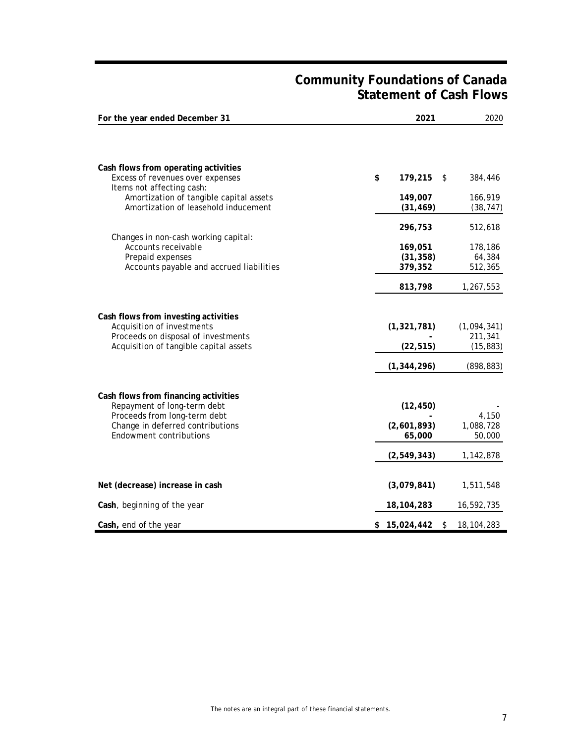## **Community Foundations of Canada Statement of Cash Flows**

| For the year ended December 31                                                                                                                                     | 2021                               | 2020                                |
|--------------------------------------------------------------------------------------------------------------------------------------------------------------------|------------------------------------|-------------------------------------|
|                                                                                                                                                                    |                                    |                                     |
| Cash flows from operating activities<br>Excess of revenues over expenses                                                                                           | \$<br>179,215<br>\$                | 384,446                             |
| Items not affecting cash:<br>Amortization of tangible capital assets<br>Amortization of leasehold inducement                                                       | 149,007<br>(31, 469)               | 166,919<br>(38, 747)                |
| Changes in non-cash working capital:                                                                                                                               | 296,753                            | 512,618                             |
| Accounts receivable<br>Prepaid expenses<br>Accounts payable and accrued liabilities                                                                                | 169,051<br>(31, 358)<br>379,352    | 178,186<br>64,384<br>512,365        |
|                                                                                                                                                                    | 813,798                            | 1,267,553                           |
| Cash flows from investing activities<br>Acquisition of investments<br>Proceeds on disposal of investments<br>Acquisition of tangible capital assets                | (1, 321, 781)<br>(22, 515)         | (1,094,341)<br>211,341<br>(15, 883) |
|                                                                                                                                                                    | (1, 344, 296)                      | (898, 883)                          |
| Cash flows from financing activities<br>Repayment of long-term debt<br>Proceeds from long-term debt<br>Change in deferred contributions<br>Endowment contributions | (12, 450)<br>(2,601,893)<br>65,000 | 4,150<br>1,088,728<br>50,000        |
|                                                                                                                                                                    | (2, 549, 343)                      | 1,142,878                           |
| Net (decrease) increase in cash                                                                                                                                    | (3,079,841)                        | 1,511,548                           |
| Cash, beginning of the year                                                                                                                                        | 18,104,283                         | 16,592,735                          |
| Cash, end of the year                                                                                                                                              | \$15,024,442<br>\$                 | 18, 104, 283                        |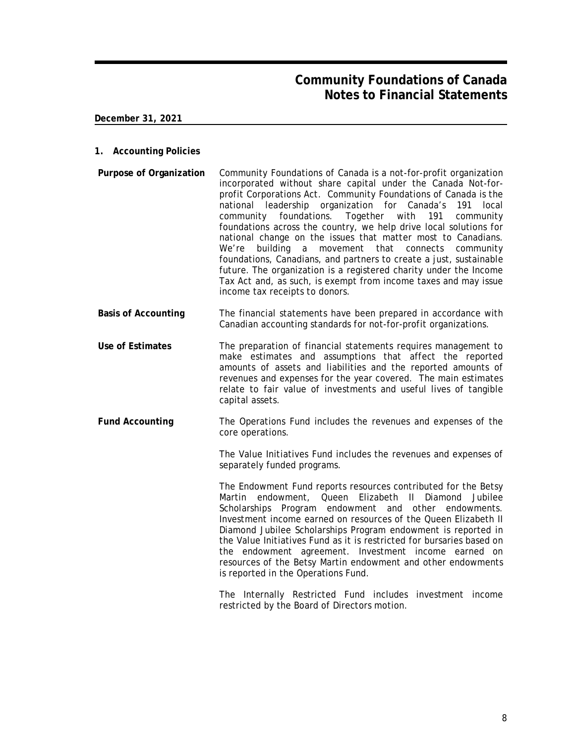**December 31, 2021**

- **1. Accounting Policies**
- **Purpose of Organization** Community Foundations of Canada is a not-for-profit organization incorporated without share capital under the Canada Not-forprofit Corporations Act. Community Foundations of Canada is the national leadership organization for Canada's 191 local community foundations. Together with 191 community foundations across the country, we help drive local solutions for national change on the issues that matter most to Canadians. We're building a movement that connects community foundations, Canadians, and partners to create a just, sustainable future. The organization is a registered charity under the Income Tax Act and, as such, is exempt from income taxes and may issue income tax receipts to donors.
- **Basis of Accounting** The financial statements have been prepared in accordance with Canadian accounting standards for not-for-profit organizations.
- **Use of Estimates** The preparation of financial statements requires management to make estimates and assumptions that affect the reported amounts of assets and liabilities and the reported amounts of revenues and expenses for the year covered. The main estimates relate to fair value of investments and useful lives of tangible capital assets.
- **Fund Accounting** The Operations Fund includes the revenues and expenses of the core operations.

The Value Initiatives Fund includes the revenues and expenses of separately funded programs.

The Endowment Fund reports resources contributed for the Betsy Martin endowment, Queen Elizabeth II Diamond Jubilee Scholarships Program endowment and other endowments. Investment income earned on resources of the Queen Elizabeth II Diamond Jubilee Scholarships Program endowment is reported in the Value Initiatives Fund as it is restricted for bursaries based on the endowment agreement. Investment income earned on resources of the Betsy Martin endowment and other endowments is reported in the Operations Fund.

The Internally Restricted Fund includes investment income restricted by the Board of Directors motion.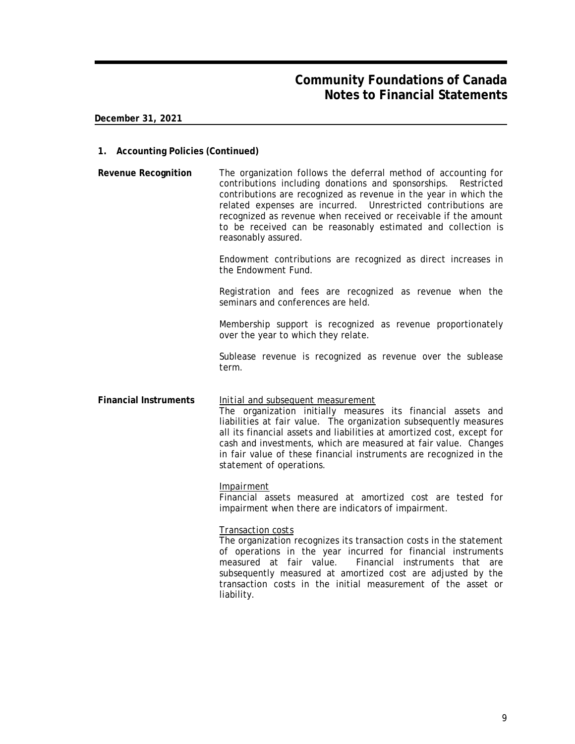**December 31, 2021**

- **1. Accounting Policies (Continued)**
- **Revenue Recognition** The organization follows the deferral method of accounting for contributions including donations and sponsorships. Restricted contributions are recognized as revenue in the year in which the related expenses are incurred. Unrestricted contributions are recognized as revenue when received or receivable if the amount to be received can be reasonably estimated and collection is reasonably assured.

Endowment contributions are recognized as direct increases in the Endowment Fund.

Registration and fees are recognized as revenue when the seminars and conferences are held.

Membership support is recognized as revenue proportionately over the year to which they relate.

Sublease revenue is recognized as revenue over the sublease term.

**Financial Instruments** *Initial and subsequent measurement* The organization initially measures its financial assets and liabilities at fair value. The organization subsequently measures all its financial assets and liabilities at amortized cost, except for cash and investments, which are measured at fair value. Changes in fair value of these financial instruments are recognized in the statement of operations.

### *Impairment*

Financial assets measured at amortized cost are tested for impairment when there are indicators of impairment.

### *Transaction costs*

The organization recognizes its transaction costs in the statement of operations in the year incurred for financial instruments measured at fair value. Financial instruments that are subsequently measured at amortized cost are adjusted by the transaction costs in the initial measurement of the asset or liability.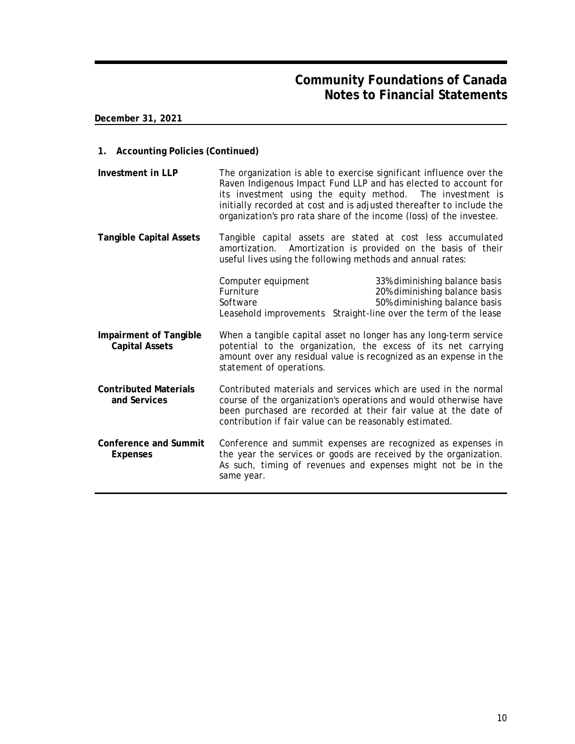**December 31, 2021**

- **1. Accounting Policies (Continued)**
- **Investment in LLP** The organization is able to exercise significant influence over the Raven Indigenous Impact Fund LLP and has elected to account for its investment using the equity method. The investment is initially recorded at cost and is adjusted thereafter to include the organization's pro rata share of the income (loss) of the investee.
- **Tangible Capital Assets** Tangible capital assets are stated at cost less accumulated amortization. Amortization is provided on the basis of their useful lives using the following methods and annual rates:

|                                                 | Computer equipment<br>Furniture<br>Software             | 33% diminishing balance basis<br>20% diminishing balance basis<br>50% diminishing balance basis<br>Leasehold improvements Straight-line over the term of the lease                                      |
|-------------------------------------------------|---------------------------------------------------------|---------------------------------------------------------------------------------------------------------------------------------------------------------------------------------------------------------|
| Impairment of Tangible<br><b>Capital Assets</b> | statement of operations.                                | When a tangible capital asset no longer has any long-term service<br>potential to the organization, the excess of its net carrying<br>amount over any residual value is recognized as an expense in the |
| <b>Contributed Materials</b><br>and Services    | contribution if fair value can be reasonably estimated. | Contributed materials and services which are used in the normal<br>course of the organization's operations and would otherwise have<br>been purchased are recorded at their fair value at the date of   |
| Conference and Summit<br>Expenses               | same year.                                              | Conference and summit expenses are recognized as expenses in<br>the year the services or goods are received by the organization.<br>As such, timing of revenues and expenses might not be in the        |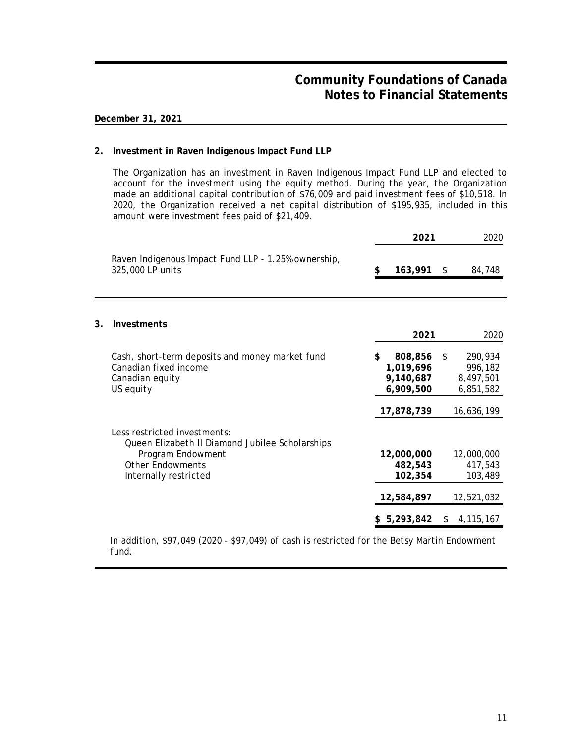## **December 31, 2021**

**3. Investments**

### **2. Investment in Raven Indigenous Impact Fund LLP**

The Organization has an investment in Raven Indigenous Impact Fund LLP and elected to account for the investment using the equity method. During the year, the Organization made an additional capital contribution of \$76,009 and paid investment fees of \$10,518. In 2020, the Organization received a net capital distribution of \$195,935, included in this amount were investment fees paid of \$21,409.

|                                                                                                                                                          | 2021                                                               |    | 2020                                                          |
|----------------------------------------------------------------------------------------------------------------------------------------------------------|--------------------------------------------------------------------|----|---------------------------------------------------------------|
| Raven Indigenous Impact Fund LLP - 1.25% ownership,<br>325,000 LP units                                                                                  | \$<br>163,991                                                      | \$ | 84,748                                                        |
| Investments                                                                                                                                              | 2021                                                               |    | 2020                                                          |
| Cash, short-term deposits and money market fund<br>Canadian fixed income<br>Canadian equity<br>US equity                                                 | \$<br>808,856<br>1,019,696<br>9,140,687<br>6,909,500<br>17,878,739 | \$ | 290,934<br>996,182<br>8,497,501<br>6,851,582<br>16,636,199    |
| Less restricted investments:<br>Queen Elizabeth II Diamond Jubilee Scholarships<br>Program Endowment<br><b>Other Endowments</b><br>Internally restricted | 12,000,000<br>482,543<br>102,354<br>12,584,897<br>5,293,842        | S. | 12,000,000<br>417,543<br>103,489<br>12,521,032<br>4, 115, 167 |

In addition, \$97,049 (2020 - \$97,049) of cash is restricted for the Betsy Martin Endowment fund.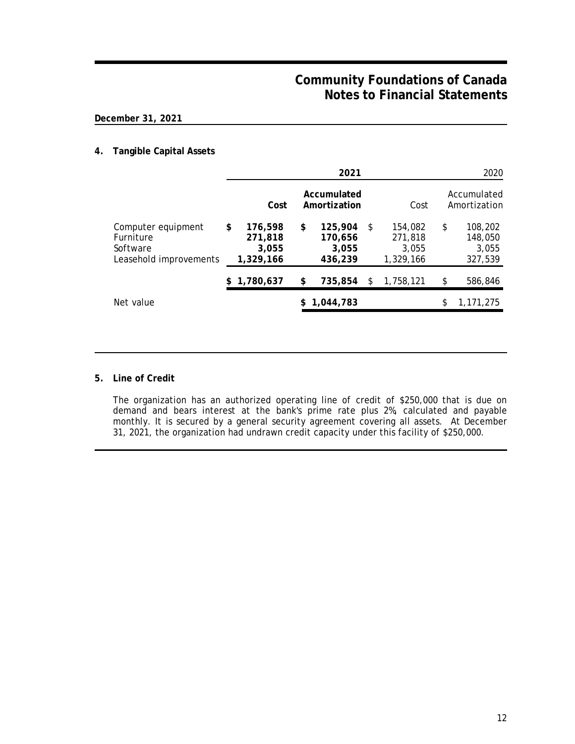## **December 31, 2021**

## **4. Tangible Capital Assets**

|                                                                       |                                                | 2021                                         |    |                                          | 2020                                         |
|-----------------------------------------------------------------------|------------------------------------------------|----------------------------------------------|----|------------------------------------------|----------------------------------------------|
|                                                                       | Cost                                           | Accumulated<br>Amortization                  |    | Cost                                     | Accumulated<br>Amortization                  |
| Computer equipment<br>Furniture<br>Software<br>Leasehold improvements | \$<br>176,598<br>271,818<br>3,055<br>1,329,166 | \$<br>125,904<br>170,656<br>3,055<br>436,239 | S. | 154,082<br>271,818<br>3.055<br>1,329,166 | \$<br>108,202<br>148,050<br>3,055<br>327,539 |
|                                                                       | 1,780,637                                      | \$<br>735,854                                | S. | 1,758,121                                | \$<br>586,846                                |
| Net value                                                             |                                                | 1,044,783                                    |    |                                          | 1, 171, 275                                  |

### **5. Line of Credit**

The organization has an authorized operating line of credit of \$250,000 that is due on demand and bears interest at the bank's prime rate plus 2%, calculated and payable monthly. It is secured by a general security agreement covering all assets. At December 31, 2021, the organization had undrawn credit capacity under this facility of \$250,000.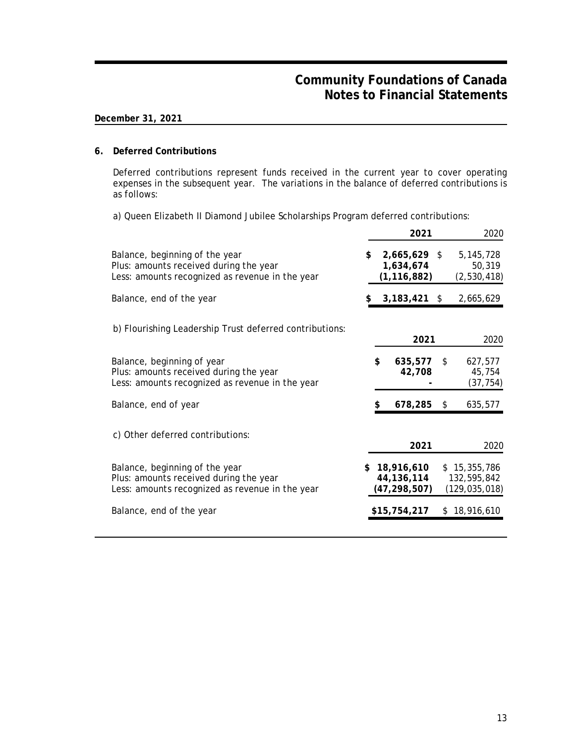## **December 31, 2021**

### **6. Deferred Contributions**

Deferred contributions represent funds received in the current year to cover operating expenses in the subsequent year. The variations in the balance of deferred contributions is as follows:

a) Queen Elizabeth II Diamond Jubilee Scholarships Program deferred contributions:

|                                                                                                                             |     | 2021                                         | 2020                                           |
|-----------------------------------------------------------------------------------------------------------------------------|-----|----------------------------------------------|------------------------------------------------|
| Balance, beginning of the year<br>Plus: amounts received during the year<br>Less: amounts recognized as revenue in the year | \$. | 2,665,629 \$<br>1,634,674<br>(1, 116, 882)   | 5, 145, 728<br>50,319<br>(2,530,418)           |
| Balance, end of the year                                                                                                    |     | $3,183,421$ \$                               | 2,665,629                                      |
| b) Flourishing Leadership Trust deferred contributions:                                                                     |     | 2021                                         | 2020                                           |
| Balance, beginning of year<br>Plus: amounts received during the year<br>Less: amounts recognized as revenue in the year     | \$  | 635,577<br>42,708                            | \$<br>627,577<br>45,754<br>(37, 754)           |
| Balance, end of year                                                                                                        | \$  | 678,285                                      | \$<br>635,577                                  |
| c) Other deferred contributions:                                                                                            |     | 2021                                         | 2020                                           |
| Balance, beginning of the year<br>Plus: amounts received during the year<br>Less: amounts recognized as revenue in the year |     | \$18,916,610<br>44,136,114<br>(47, 298, 507) | \$15,355,786<br>132,595,842<br>(129, 035, 018) |
| Balance, end of the year                                                                                                    |     | \$15,754,217                                 | \$18,916,610                                   |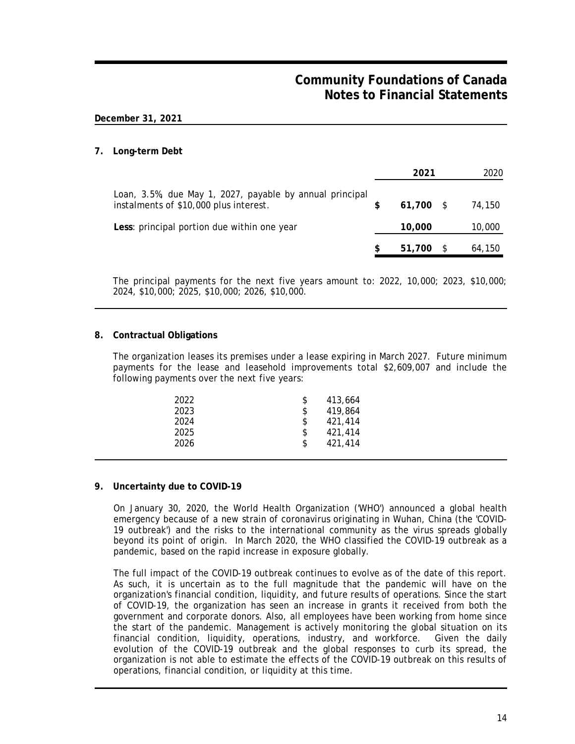### **December 31, 2021**

### **7. Long-term Debt**

|                                                                                                    | 2021        | 2020   |
|----------------------------------------------------------------------------------------------------|-------------|--------|
| Loan, 3.5%, due May 1, 2027, payable by annual principal<br>instalments of \$10,000 plus interest. | $61,700$ \$ | 74,150 |
| Less: principal portion due within one year                                                        | 10,000      | 10,000 |
|                                                                                                    | 51,700      | 64,150 |

The principal payments for the next five years amount to: 2022, 10,000; 2023, \$10,000; 2024, \$10,000; 2025, \$10,000; 2026, \$10,000.

### **8. Contractual Obligations**

The organization leases its premises under a lease expiring in March 2027. Future minimum payments for the lease and leasehold improvements total \$2,609,007 and include the following payments over the next five years:

| 2022 | 413.664       |
|------|---------------|
| 2023 | \$<br>419.864 |
| 2024 | \$<br>421.414 |
| 2025 | \$<br>421,414 |
| 2026 | 421.414       |
|      |               |

### **9. Uncertainty due to COVID-19**

On January 30, 2020, the World Health Organization ('WHO') announced a global health emergency because of a new strain of coronavirus originating in Wuhan, China (the 'COVID-19 outbreak') and the risks to the international community as the virus spreads globally beyond its point of origin. In March 2020, the WHO classified the COVID-19 outbreak as a pandemic, based on the rapid increase in exposure globally.

The full impact of the COVID-19 outbreak continues to evolve as of the date of this report. As such, it is uncertain as to the full magnitude that the pandemic will have on the organization's financial condition, liquidity, and future results of operations. Since the start of COVID-19, the organization has seen an increase in grants it received from both the government and corporate donors. Also, all employees have been working from home since the start of the pandemic. Management is actively monitoring the global situation on its financial condition, liquidity, operations, industry, and workforce. Given the daily evolution of the COVID-19 outbreak and the global responses to curb its spread, the organization is not able to estimate the effects of the COVID-19 outbreak on this results of operations, financial condition, or liquidity at this time.